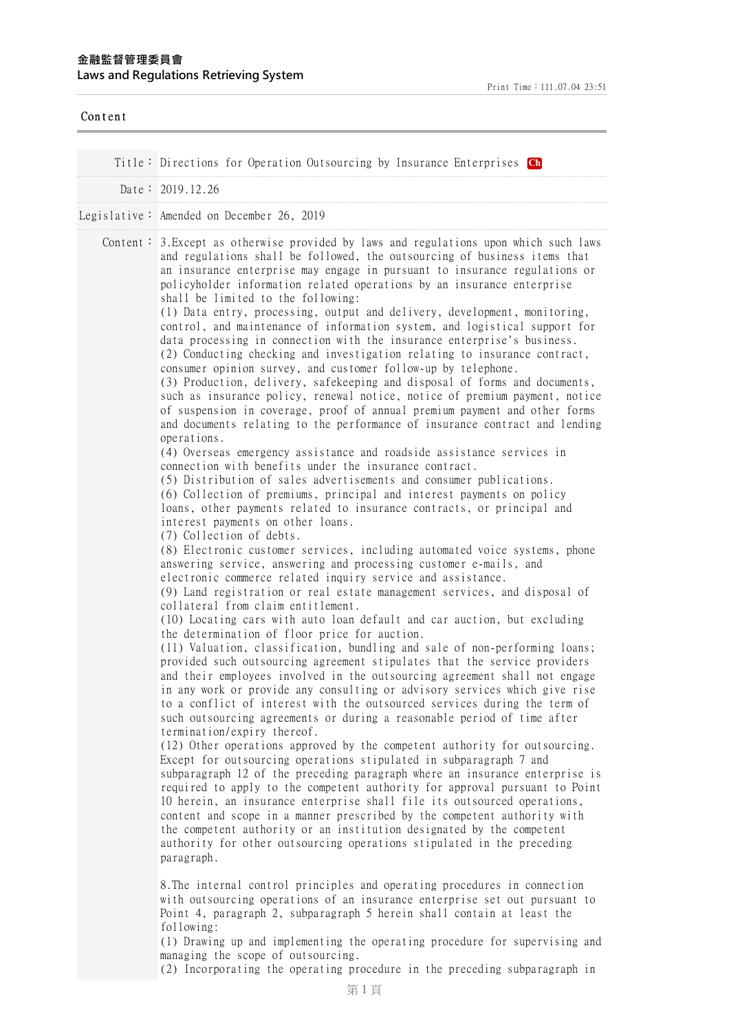| Content |                                                                                                                                                                                                                                                                                                                                                                                                                                                                                                                                                                                                                                                                                                                                                                                                                                                                                                                                                                                                                                                                                                                                                                                                                                                                                                                                                                                                                                                                                                                                                                                                                                                                                                                                                                                                                                                                                                                                                                                                                                                                                                                                                                                                                                                                                                                                                                                                                                                                                                                                                                                                                                                                                                                                                                                                                                                                                                                                                                                                                                                                                                                                                                                                                                                                                                                                                                                                                                                                                                                                |
|---------|--------------------------------------------------------------------------------------------------------------------------------------------------------------------------------------------------------------------------------------------------------------------------------------------------------------------------------------------------------------------------------------------------------------------------------------------------------------------------------------------------------------------------------------------------------------------------------------------------------------------------------------------------------------------------------------------------------------------------------------------------------------------------------------------------------------------------------------------------------------------------------------------------------------------------------------------------------------------------------------------------------------------------------------------------------------------------------------------------------------------------------------------------------------------------------------------------------------------------------------------------------------------------------------------------------------------------------------------------------------------------------------------------------------------------------------------------------------------------------------------------------------------------------------------------------------------------------------------------------------------------------------------------------------------------------------------------------------------------------------------------------------------------------------------------------------------------------------------------------------------------------------------------------------------------------------------------------------------------------------------------------------------------------------------------------------------------------------------------------------------------------------------------------------------------------------------------------------------------------------------------------------------------------------------------------------------------------------------------------------------------------------------------------------------------------------------------------------------------------------------------------------------------------------------------------------------------------------------------------------------------------------------------------------------------------------------------------------------------------------------------------------------------------------------------------------------------------------------------------------------------------------------------------------------------------------------------------------------------------------------------------------------------------------------------------------------------------------------------------------------------------------------------------------------------------------------------------------------------------------------------------------------------------------------------------------------------------------------------------------------------------------------------------------------------------------------------------------------------------------------------------------------------------|
|         | Title: Directions for Operation Outsourcing by Insurance Enterprises Ch                                                                                                                                                                                                                                                                                                                                                                                                                                                                                                                                                                                                                                                                                                                                                                                                                                                                                                                                                                                                                                                                                                                                                                                                                                                                                                                                                                                                                                                                                                                                                                                                                                                                                                                                                                                                                                                                                                                                                                                                                                                                                                                                                                                                                                                                                                                                                                                                                                                                                                                                                                                                                                                                                                                                                                                                                                                                                                                                                                                                                                                                                                                                                                                                                                                                                                                                                                                                                                                        |
|         | Date: $2019.12.26$                                                                                                                                                                                                                                                                                                                                                                                                                                                                                                                                                                                                                                                                                                                                                                                                                                                                                                                                                                                                                                                                                                                                                                                                                                                                                                                                                                                                                                                                                                                                                                                                                                                                                                                                                                                                                                                                                                                                                                                                                                                                                                                                                                                                                                                                                                                                                                                                                                                                                                                                                                                                                                                                                                                                                                                                                                                                                                                                                                                                                                                                                                                                                                                                                                                                                                                                                                                                                                                                                                             |
|         |                                                                                                                                                                                                                                                                                                                                                                                                                                                                                                                                                                                                                                                                                                                                                                                                                                                                                                                                                                                                                                                                                                                                                                                                                                                                                                                                                                                                                                                                                                                                                                                                                                                                                                                                                                                                                                                                                                                                                                                                                                                                                                                                                                                                                                                                                                                                                                                                                                                                                                                                                                                                                                                                                                                                                                                                                                                                                                                                                                                                                                                                                                                                                                                                                                                                                                                                                                                                                                                                                                                                |
|         | Legislative: Amended on December 26, 2019                                                                                                                                                                                                                                                                                                                                                                                                                                                                                                                                                                                                                                                                                                                                                                                                                                                                                                                                                                                                                                                                                                                                                                                                                                                                                                                                                                                                                                                                                                                                                                                                                                                                                                                                                                                                                                                                                                                                                                                                                                                                                                                                                                                                                                                                                                                                                                                                                                                                                                                                                                                                                                                                                                                                                                                                                                                                                                                                                                                                                                                                                                                                                                                                                                                                                                                                                                                                                                                                                      |
|         | Content: 3. Except as otherwise provided by laws and regulations upon which such laws<br>and regulations shall be followed, the outsourcing of business items that<br>an insurance enterprise may engage in pursuant to insurance regulations or<br>policyholder information related operations by an insurance enterprise<br>shall be limited to the following:<br>(1) Data entry, processing, output and delivery, development, monitoring,<br>control, and maintenance of information system, and logistical support for<br>data processing in connection with the insurance enterprise's business.<br>(2) Conducting checking and investigation relating to insurance contract,<br>consumer opinion survey, and customer follow-up by telephone.<br>(3) Production, delivery, safekeeping and disposal of forms and documents,<br>such as insurance policy, renewal notice, notice of premium payment, notice<br>of suspension in coverage, proof of annual premium payment and other forms<br>and documents relating to the performance of insurance contract and lending<br>operations.<br>(4) Overseas emergency assistance and roadside assistance services in<br>connection with benefits under the insurance contract.<br>(5) Distribution of sales advertisements and consumer publications.<br>(6) Collection of premiums, principal and interest payments on policy<br>loans, other payments related to insurance contracts, or principal and<br>interest payments on other loans.<br>(7) Collection of debts.<br>(8) Electronic customer services, including automated voice systems, phone<br>answering service, answering and processing customer e-mails, and<br>electronic commerce related inquiry service and assistance.<br>(9) Land registration or real estate management services, and disposal of<br>collateral from claim entitlement.<br>(10) Locating cars with auto loan default and car auction, but excluding<br>the determination of floor price for auction.<br>(11) Valuation, classification, bundling and sale of non-performing loans;<br>provided such outsourcing agreement stipulates that the service providers<br>and their employees involved in the outsourcing agreement shall not engage<br>in any work or provide any consulting or advisory services which give rise<br>to a conflict of interest with the outsourced services during the term of<br>such outsourcing agreements or during a reasonable period of time after<br>termination/expiry thereof.<br>(12) Other operations approved by the competent authority for outsourcing.<br>Except for outsourcing operations stipulated in subparagraph 7 and<br>subparagraph 12 of the preceding paragraph where an insurance enterprise is<br>required to apply to the competent authority for approval pursuant to Point<br>10 herein, an insurance enterprise shall file its outsourced operations,<br>content and scope in a manner prescribed by the competent authority with<br>the competent authority or an institution designated by the competent<br>authority for other outsourcing operations stipulated in the preceding<br>paragraph.<br>8. The internal control principles and operating procedures in connection<br>with outsourcing operations of an insurance enterprise set out pursuant to<br>Point 4, paragraph 2, subparagraph 5 herein shall contain at least the<br>following:<br>(1) Drawing up and implementing the operating procedure for supervising and<br>managing the scope of outsourcing. |

(2) Incorporating the operating procedure in the preceding subparagraph in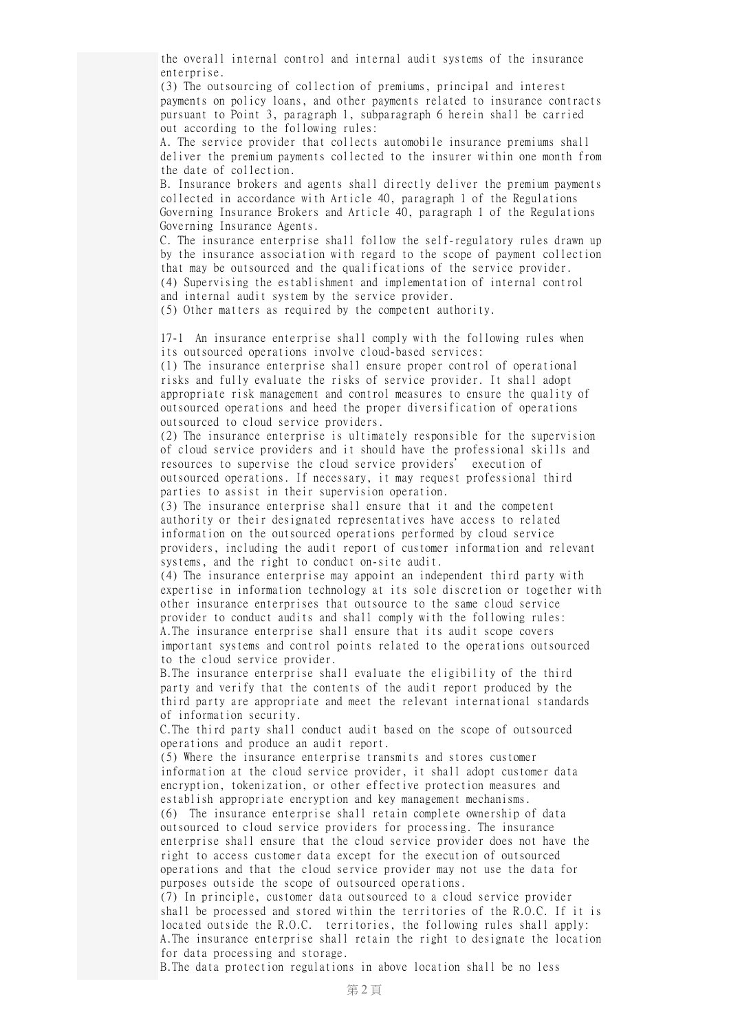the overall internal control and internal audit systems of the insurance enterprise.

(3) The outsourcing of collection of premiums, principal and interest payments on policy loans, and other payments related to insurance contracts pursuant to Point 3, paragraph 1, subparagraph 6 herein shall be carried out according to the following rules:

A. The service provider that collects automobile insurance premiums shall deliver the premium payments collected to the insurer within one month from the date of collection.

B. Insurance brokers and agents shall directly deliver the premium payments collected in accordance with Article 40, paragraph 1 of the Regulations Governing Insurance Brokers and Article 40, paragraph 1 of the Regulations Governing Insurance Agents.

C. The insurance enterprise shall follow the self-regulatory rules drawn up by the insurance association with regard to the scope of payment collection that may be outsourced and the qualifications of the service provider. (4) Supervising the establishment and implementation of internal control and internal audit system by the service provider.

(5) Other matters as required by the competent authority.

17-1 An insurance enterprise shall comply with the following rules when its outsourced operations involve cloud-based services:

(1) The insurance enterprise shall ensure proper control of operational risks and fully evaluate the risks of service provider. It shall adopt appropriate risk management and control measures to ensure the quality of outsourced operations and heed the proper diversification of operations outsourced to cloud service providers.

(2) The insurance enterprise is ultimately responsible for the supervision of cloud service providers and it should have the professional skills and resources to supervise the cloud service providers' execution of outsourced operations. If necessary, it may request professional third parties to assist in their supervision operation.

(3) The insurance enterprise shall ensure that it and the competent authority or their designated representatives have access to related information on the outsourced operations performed by cloud service providers, including the audit report of customer information and relevant systems, and the right to conduct on-site audit.

(4) The insurance enterprise may appoint an independent third party with expertise in information technology at its sole discretion or together with other insurance enterprises that outsource to the same cloud service provider to conduct audits and shall comply with the following rules: A.The insurance enterprise shall ensure that its audit scope covers important systems and control points related to the operations outsourced to the cloud service provider.

B.The insurance enterprise shall evaluate the eligibility of the third party and verify that the contents of the audit report produced by the third party are appropriate and meet the relevant international standards of information security.

C.The third party shall conduct audit based on the scope of outsourced operations and produce an audit report.

(5) Where the insurance enterprise transmits and stores customer information at the cloud service provider, it shall adopt customer data encryption, tokenization, or other effective protection measures and establish appropriate encryption and key management mechanisms.

(6) The insurance enterprise shall retain complete ownership of data outsourced to cloud service providers for processing. The insurance enterprise shall ensure that the cloud service provider does not have the right to access customer data except for the execution of outsourced operations and that the cloud service provider may not use the data for purposes outside the scope of outsourced operations.

(7) In principle, customer data outsourced to a cloud service provider shall be processed and stored within the territories of the R.O.C. If it is located outside the R.O.C. territories, the following rules shall apply: A.The insurance enterprise shall retain the right to designate the location for data processing and storage.

B.The data protection regulations in above location shall be no less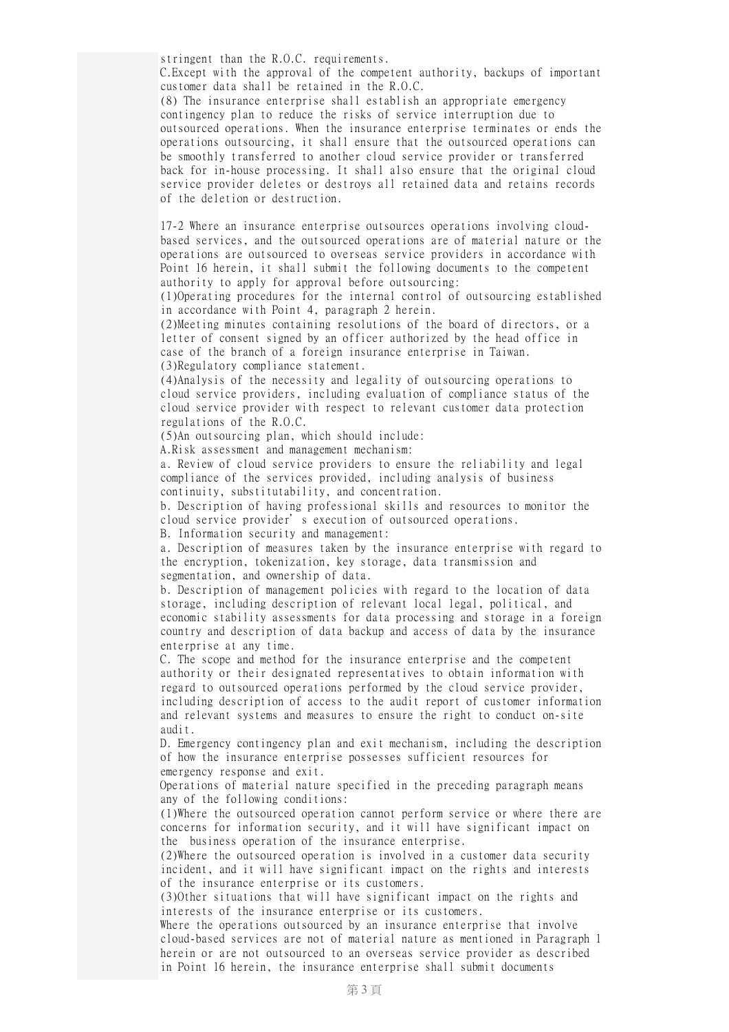stringent than the R.O.C. requirements.

C.Except with the approval of the competent authority, backups of important customer data shall be retained in the R.O.C.

(8) The insurance enterprise shall establish an appropriate emergency contingency plan to reduce the risks of service interruption due to outsourced operations. When the insurance enterprise terminates or ends the operations outsourcing, it shall ensure that the outsourced operations can be smoothly transferred to another cloud service provider or transferred back for in-house processing. It shall also ensure that the original cloud service provider deletes or destroys all retained data and retains records of the deletion or destruction.

17-2 Where an insurance enterprise outsources operations involving cloudbased services, and the outsourced operations are of material nature or the operations are outsourced to overseas service providers in accordance with Point 16 herein, it shall submit the following documents to the competent authority to apply for approval before outsourcing:

(1)Operating procedures for the internal control of outsourcing established in accordance with Point 4, paragraph 2 herein.

(2)Meeting minutes containing resolutions of the board of directors, or a letter of consent signed by an officer authorized by the head office in case of the branch of a foreign insurance enterprise in Taiwan. (3)Regulatory compliance statement.

(4)Analysis of the necessity and legality of outsourcing operations to cloud service providers, including evaluation of compliance status of the cloud service provider with respect to relevant customer data protection regulations of the R.O.C.

(5)An outsourcing plan, which should include:

A.Risk assessment and management mechanism:

a. Review of cloud service providers to ensure the reliability and legal compliance of the services provided, including analysis of business continuity, substitutability, and concentration.

b. Description of having professional skills and resources to monitor the cloud service provider's execution of outsourced operations.

B. Information security and management:

a. Description of measures taken by the insurance enterprise with regard to the encryption, tokenization, key storage, data transmission and segmentation, and ownership of data.

b. Description of management policies with regard to the location of data storage, including description of relevant local legal, political, and economic stability assessments for data processing and storage in a foreign country and description of data backup and access of data by the insurance enterprise at any time.

C. The scope and method for the insurance enterprise and the competent authority or their designated representatives to obtain information with regard to outsourced operations performed by the cloud service provider, including description of access to the audit report of customer information and relevant systems and measures to ensure the right to conduct on-site audit.

D. Emergency contingency plan and exit mechanism, including the description of how the insurance enterprise possesses sufficient resources for emergency response and exit.

Operations of material nature specified in the preceding paragraph means any of the following conditions:

(1)Where the outsourced operation cannot perform service or where there are concerns for information security, and it will have significant impact on the business operation of the insurance enterprise.

(2)Where the outsourced operation is involved in a customer data security incident, and it will have significant impact on the rights and interests of the insurance enterprise or its customers.

(3)Other situations that will have significant impact on the rights and interests of the insurance enterprise or its customers.

Where the operations outsourced by an insurance enterprise that involve cloud-based services are not of material nature as mentioned in Paragraph 1 herein or are not outsourced to an overseas service provider as described in Point 16 herein, the insurance enterprise shall submit documents